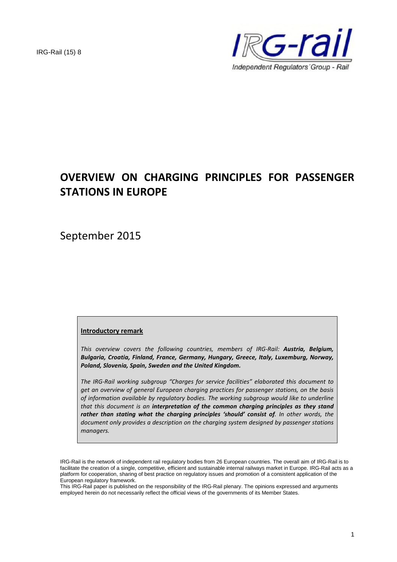

# **OVERVIEW ON CHARGING PRINCIPLES FOR PASSENGER STATIONS IN EUROPE**

September 2015

#### **Introductory remark**

*This overview covers the following countries, members of IRG-Rail: Austria, Belgium, Bulgaria, Croatia, Finland, France, Germany, Hungary, Greece, Italy, Luxemburg, Norway, Poland, Slovenia, Spain, Sweden and the United Kingdom.*

*The IRG-Rail working subgroup "Charges for service facilities" elaborated this document to get an overview of general European charging practices for passenger stations, on the basis of information available by regulatory bodies. The working subgroup would like to underline that this document is an interpretation of the common charging principles as they stand rather than stating what the charging principles 'should' consist of. In other words, the document only provides a description on the charging system designed by passenger stations managers.*

This IRG-Rail paper is published on the responsibility of the IRG-Rail plenary. The opinions expressed and arguments employed herein do not necessarily reflect the official views of the governments of its Member States.

IRG-Rail is the network of independent rail regulatory bodies from 26 European countries. The overall aim of IRG-Rail is to facilitate the creation of a single, competitive, efficient and sustainable internal railways market in Europe. IRG-Rail acts as a platform for cooperation, sharing of best practice on regulatory issues and promotion of a consistent application of the European regulatory framework.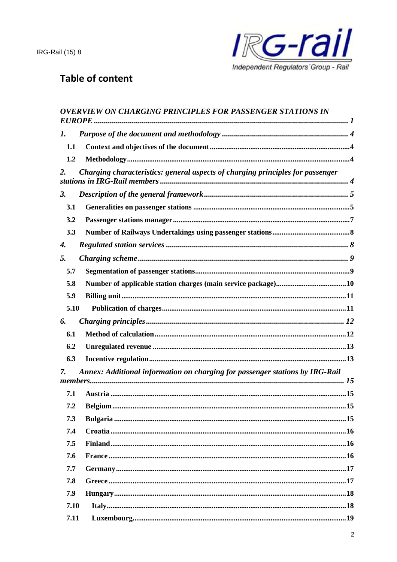

# **Table of content**

|            | <b>OVERVIEW ON CHARGING PRINCIPLES FOR PASSENGER STATIONS IN</b>               |
|------------|--------------------------------------------------------------------------------|
| 1.         |                                                                                |
| 1.1        |                                                                                |
| 1.2        |                                                                                |
| 2.         | Charging characteristics: general aspects of charging principles for passenger |
| <b>3.</b>  |                                                                                |
| 3.1        |                                                                                |
| 3.2        |                                                                                |
| 3.3        |                                                                                |
| 4.         |                                                                                |
| 5.         |                                                                                |
| 5.7        |                                                                                |
| 5.8        |                                                                                |
| 5.9        |                                                                                |
| 5.10       |                                                                                |
| 6.         |                                                                                |
| 6.1        |                                                                                |
| 6.2        |                                                                                |
| 6.3        |                                                                                |
| 7.         | Annex: Additional information on charging for passenger stations by IRG-Rail   |
|            |                                                                                |
| 7.1<br>7.2 | .15<br><b>Belgium</b>                                                          |
| 7.3        |                                                                                |
| 7.4        |                                                                                |
| 7.5        |                                                                                |
| 7.6        |                                                                                |
| 7.7        |                                                                                |
| 7.8        |                                                                                |
| 7.9        |                                                                                |
| 7.10       |                                                                                |
| 7.11       |                                                                                |
|            |                                                                                |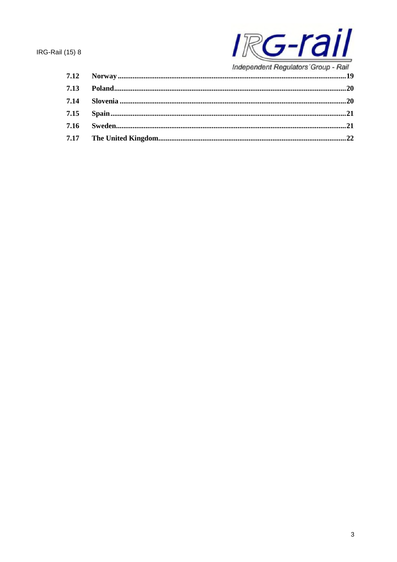

|      | muepenuent Regulators Group - Rail |
|------|------------------------------------|
|      |                                    |
| 7.13 |                                    |
| 7.14 |                                    |
| 7.15 |                                    |
| 7.16 |                                    |
|      |                                    |
|      |                                    |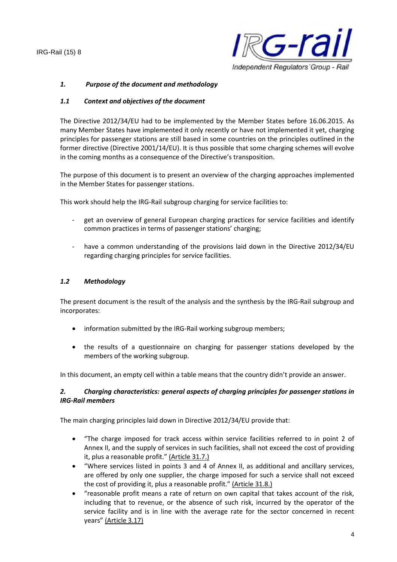

## *1. Purpose of the document and methodology*

#### *1.1 Context and objectives of the document*

The Directive 2012/34/EU had to be implemented by the Member States before 16.06.2015. As many Member States have implemented it only recently or have not implemented it yet, charging principles for passenger stations are still based in some countries on the principles outlined in the former directive (Directive 2001/14/EU). It is thus possible that some charging schemes will evolve in the coming months as a consequence of the Directive's transposition.

The purpose of this document is to present an overview of the charging approaches implemented in the Member States for passenger stations.

This work should help the IRG-Rail subgroup charging for service facilities to:

- get an overview of general European charging practices for service facilities and identify common practices in terms of passenger stations' charging;
- have a common understanding of the provisions laid down in the Directive 2012/34/EU regarding charging principles for service facilities.

### *1.2 Methodology*

The present document is the result of the analysis and the synthesis by the IRG-Rail subgroup and incorporates:

- information submitted by the IRG-Rail working subgroup members;
- the results of a questionnaire on charging for passenger stations developed by the members of the working subgroup.

In this document, an empty cell within a table means that the country didn't provide an answer.

## *2. Charging characteristics: general aspects of charging principles for passenger stations in IRG-Rail members*

The main charging principles laid down in Directive 2012/34/EU provide that:

- "The charge imposed for track access within service facilities referred to in point 2 of Annex II, and the supply of services in such facilities, shall not exceed the cost of providing it, plus a reasonable profit." (Article 31.7.)
- "Where services listed in points 3 and 4 of Annex II, as additional and ancillary services, are offered by only one supplier, the charge imposed for such a service shall not exceed the cost of providing it, plus a reasonable profit." (Article 31.8.)
- "reasonable profit means a rate of return on own capital that takes account of the risk, including that to revenue, or the absence of such risk, incurred by the operator of the service facility and is in line with the average rate for the sector concerned in recent years" (Article 3.17)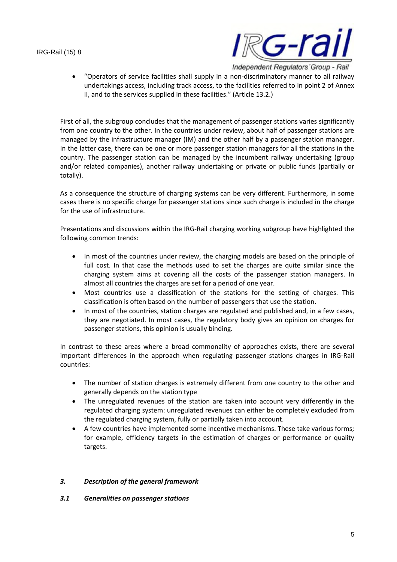

 "Operators of service facilities shall supply in a non-discriminatory manner to all railway undertakings access, including track access, to the facilities referred to in point 2 of Annex II, and to the services supplied in these facilities." (Article 13.2.)

First of all, the subgroup concludes that the management of passenger stations varies significantly from one country to the other. In the countries under review, about half of passenger stations are managed by the infrastructure manager (IM) and the other half by a passenger station manager. In the latter case, there can be one or more passenger station managers for all the stations in the country. The passenger station can be managed by the incumbent railway undertaking (group and/or related companies), another railway undertaking or private or public funds (partially or totally).

As a consequence the structure of charging systems can be very different. Furthermore, in some cases there is no specific charge for passenger stations since such charge is included in the charge for the use of infrastructure.

Presentations and discussions within the IRG-Rail charging working subgroup have highlighted the following common trends:

- In most of the countries under review, the charging models are based on the principle of full cost. In that case the methods used to set the charges are quite similar since the charging system aims at covering all the costs of the passenger station managers. In almost all countries the charges are set for a period of one year.
- Most countries use a classification of the stations for the setting of charges. This classification is often based on the number of passengers that use the station.
- In most of the countries, station charges are regulated and published and, in a few cases, they are negotiated. In most cases, the regulatory body gives an opinion on charges for passenger stations, this opinion is usually binding.

In contrast to these areas where a broad commonality of approaches exists, there are several important differences in the approach when regulating passenger stations charges in IRG-Rail countries:

- The number of station charges is extremely different from one country to the other and generally depends on the station type
- The unregulated revenues of the station are taken into account very differently in the regulated charging system: unregulated revenues can either be completely excluded from the regulated charging system, fully or partially taken into account.
- A few countries have implemented some incentive mechanisms. These take various forms; for example, efficiency targets in the estimation of charges or performance or quality targets.

## *3. Description of the general framework*

## *3.1 Generalities on passenger stations*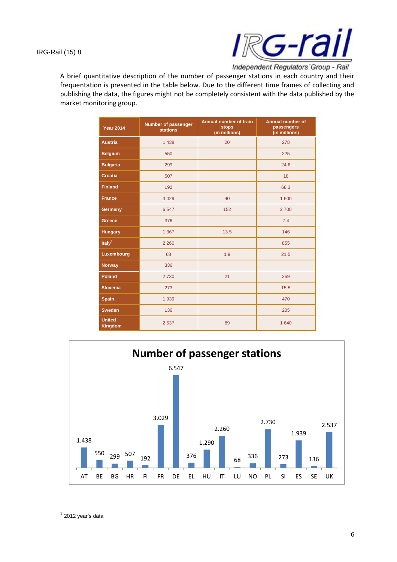

A brief quantitative description of the number of passenger stations in each country and their frequentation is presented in the table below. Due to the different time frames of collecting and publishing the data, the figures might not be completely consistent with the data published by the market monitoring group.

| <b>Year 2014</b>                | Number of passenger<br><b>stations</b> | Annual number of train<br><b>stops</b><br>(in millions) | Annual number of<br>passengers<br>(in millions) |
|---------------------------------|----------------------------------------|---------------------------------------------------------|-------------------------------------------------|
| <b>Austria</b>                  | 1 4 3 8                                | 20                                                      | 278                                             |
| <b>Belgium</b>                  | 550                                    |                                                         | 225                                             |
| <b>Bulgaria</b>                 | 299                                    |                                                         | 24.6                                            |
| <b>Croatia</b>                  | 507                                    |                                                         | 18                                              |
| <b>Finland</b>                  | 192                                    |                                                         | 68.3                                            |
| <b>France</b>                   | 3 0 2 9                                | 40                                                      | 1600                                            |
| Germany                         | 6547                                   | 152                                                     | 2700                                            |
| Greece                          | 376                                    |                                                         | 7.4                                             |
| <b>Hungary</b>                  | 1 3 6 7                                | 13.5                                                    | 146                                             |
| Ital $v1$                       | 2 2 6 0                                |                                                         | 855                                             |
| Luxembourg                      | 68                                     | 1.9                                                     | 21.5                                            |
| <b>Norway</b>                   | 336                                    |                                                         |                                                 |
| <b>Poland</b>                   | 2730                                   | 21                                                      | 269                                             |
| <b>Slovenia</b>                 | 273                                    |                                                         | 15.5                                            |
| <b>Spain</b>                    | 1939                                   |                                                         | 470                                             |
| <b>Sweden</b>                   | 136                                    |                                                         | 205                                             |
| <b>United</b><br><b>Kingdom</b> | 2 5 3 7                                | 89                                                      | 1 6 4 0                                         |



 $^1$  2012 year's data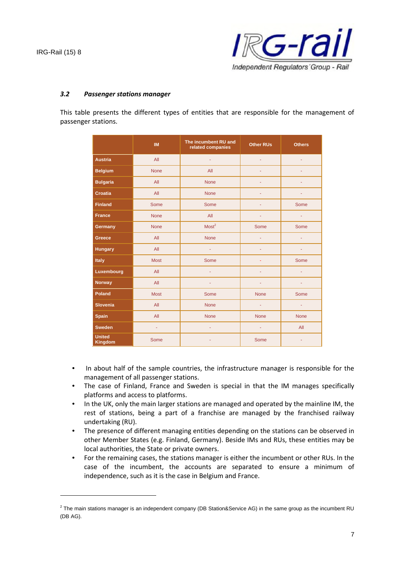

#### *3.2 Passenger stations manager*

This table presents the different types of entities that are responsible for the management of passenger stations.

|                                 | <b>IM</b>      | The incumbent RU and<br>related companies | <b>Other RUs</b> | <b>Others</b> |
|---------------------------------|----------------|-------------------------------------------|------------------|---------------|
| <b>Austria</b>                  | All            | ÷.                                        | ÷.               | ÷             |
| <b>Belgium</b>                  | <b>None</b>    | All                                       | ٠                | Ξ             |
| <b>Bulgaria</b>                 | All            | <b>None</b>                               | ٠                | ٠             |
| <b>Croatia</b>                  | All            | <b>None</b>                               | ÷                | ٠             |
| <b>Finland</b>                  | Some           | Some                                      | ä,               | Some          |
| <b>France</b>                   | <b>None</b>    | All                                       | Ξ                | ÷             |
| Germany                         | <b>None</b>    | Most <sup>2</sup>                         | Some             | Some          |
| <b>Greece</b>                   | All            | None                                      | $\omega$         | $\omega$      |
| <b>Hungary</b>                  | All            | $\omega$                                  | ٠                | ٠             |
| <b>Italy</b>                    | <b>Most</b>    | <b>Some</b>                               | Ξ                | <b>Some</b>   |
| Luxembourg                      | All            | $\omega$                                  | ÷                | ÷             |
| <b>Norway</b>                   | All            | $\omega$                                  | Ξ                | ÷             |
| <b>Poland</b>                   | <b>Most</b>    | <b>Some</b>                               | <b>None</b>      | Some          |
| <b>Slovenia</b>                 | All            | <b>None</b>                               | ÷,               | $\omega$      |
| <b>Spain</b>                    | All            | <b>None</b>                               | <b>None</b>      | <b>None</b>   |
| <b>Sweden</b>                   | $\blacksquare$ | ÷.                                        | ÷                | All           |
| <b>United</b><br><b>Kingdom</b> | Some           | ٠                                         | Some             | ٠             |

- In about half of the sample countries, the infrastructure manager is responsible for the management of all passenger stations.
- The case of Finland, France and Sweden is special in that the IM manages specifically platforms and access to platforms.
- In the UK, only the main larger stations are managed and operated by the mainline IM, the rest of stations, being a part of a franchise are managed by the franchised railway undertaking (RU).
- The presence of different managing entities depending on the stations can be observed in other Member States (e.g. Finland, Germany). Beside IMs and RUs, these entities may be local authorities, the State or private owners.
- For the remaining cases, the stations manager is either the incumbent or other RUs. In the case of the incumbent, the accounts are separated to ensure a minimum of independence, such as it is the case in Belgium and France.

 $^2$  The main stations manager is an independent company (DB Station&Service AG) in the same group as the incumbent RU (DB AG).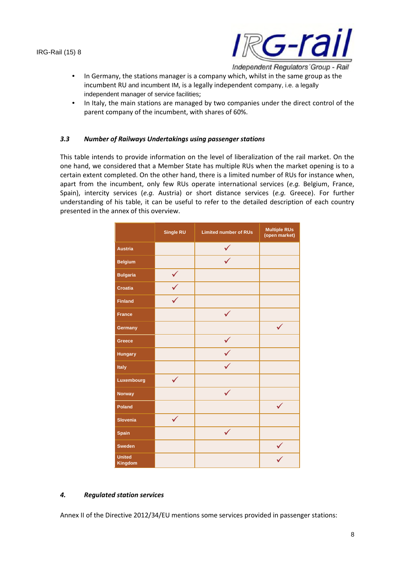

- In Germany, the stations manager is a company which, whilst in the same group as the incumbent RU and incumbent IM, is a legally independent company, i.e. a legally independent manager of service facilities;
- In Italy, the main stations are managed by two companies under the direct control of the parent company of the incumbent, with shares of 60%.

#### *3.3 Number of Railways Undertakings using passenger stations*

This table intends to provide information on the level of liberalization of the rail market. On the one hand, we considered that a Member State has multiple RUs when the market opening is to a certain extent completed. On the other hand, there is a limited number of RUs for instance when, apart from the incumbent, only few RUs operate international services (*e.g.* Belgium, France, Spain), intercity services (*e.g.* Austria) or short distance services (*e.g.* Greece). For further understanding of his table, it can be useful to refer to the detailed description of each country presented in the annex of this overview.

|                          | Single RU    | <b>Limited number of RUs</b> | <b>Multiple RUs</b><br>(open market) |
|--------------------------|--------------|------------------------------|--------------------------------------|
| <b>Austria</b>           |              |                              |                                      |
| <b>Belgium</b>           |              |                              |                                      |
| <b>Bulgaria</b>          | $\checkmark$ |                              |                                      |
| <b>Croatia</b>           |              |                              |                                      |
| <b>Finland</b>           |              |                              |                                      |
| <b>France</b>            |              |                              |                                      |
| Germany                  |              |                              |                                      |
| Greece                   |              |                              |                                      |
| <b>Hungary</b>           |              |                              |                                      |
| Italy                    |              |                              |                                      |
| Luxembourg               |              |                              |                                      |
| <b>Norway</b>            |              |                              |                                      |
| <b>Poland</b>            |              |                              |                                      |
| <b>Slovenia</b>          | $\checkmark$ |                              |                                      |
| <b>Spain</b>             |              |                              |                                      |
| <b>Sweden</b>            |              |                              |                                      |
| <b>United</b><br>Kingdom |              |                              |                                      |

## *4. Regulated station services*

Annex II of the Directive 2012/34/EU mentions some services provided in passenger stations: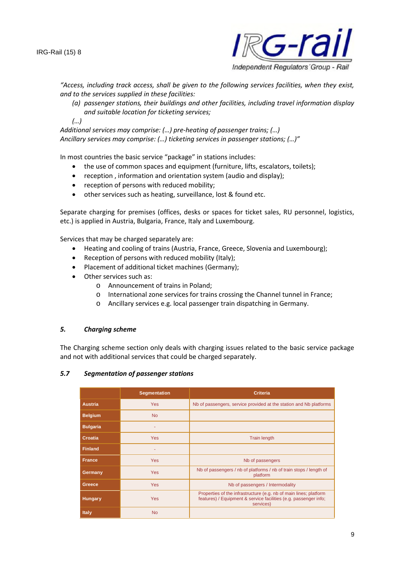

*"Access, including track access, shall be given to the following services facilities, when they exist, and to the services supplied in these facilities:*

*(a) passenger stations, their buildings and other facilities, including travel information display and suitable location for ticketing services;*

*(…)*

*Additional services may comprise: (…) pre-heating of passenger trains; (…) Ancillary services may comprise: (…) ticketing services in passenger stations; (…)"*

In most countries the basic service "package" in stations includes:

- the use of common spaces and equipment (furniture, lifts, escalators, toilets);
- reception , information and orientation system (audio and display);
- reception of persons with reduced mobility;
- other services such as heating, surveillance, lost & found etc.

Separate charging for premises (offices, desks or spaces for ticket sales, RU personnel, logistics, etc.) is applied in Austria, Bulgaria, France, Italy and Luxembourg.

Services that may be charged separately are:

- Heating and cooling of trains (Austria, France, Greece, Slovenia and Luxembourg);
- Reception of persons with reduced mobility (Italy);
- Placement of additional ticket machines (Germany);
- Other services such as:
	- o Announcement of trains in Poland;
	- o International zone services for trains crossing the Channel tunnel in France;
	- o Ancillary services e.g. local passenger train dispatching in Germany.

#### *5. Charging scheme*

The Charging scheme section only deals with charging issues related to the basic service package and not with additional services that could be charged separately.

#### *5.7 Segmentation of passenger stations*

|                 | <b>Segmentation</b> | Criteria                                                                                                                                           |  |
|-----------------|---------------------|----------------------------------------------------------------------------------------------------------------------------------------------------|--|
| <b>Austria</b>  | <b>Yes</b>          | Nb of passengers, service provided at the station and Nb platforms                                                                                 |  |
| <b>Belgium</b>  | <b>No</b>           |                                                                                                                                                    |  |
| <b>Bulgaria</b> |                     |                                                                                                                                                    |  |
| Croatia         | <b>Yes</b>          | <b>Train length</b>                                                                                                                                |  |
| <b>Finland</b>  | ٠                   |                                                                                                                                                    |  |
| <b>France</b>   | <b>Yes</b>          | Nb of passengers                                                                                                                                   |  |
| Germany         | <b>Yes</b>          | Nb of passengers / nb of platforms / nb of train stops / length of<br>platform                                                                     |  |
| Greece          | <b>Yes</b>          | Nb of passengers / Intermodality                                                                                                                   |  |
| <b>Hungary</b>  | <b>Yes</b>          | Properties of the infrastructure (e.g. nb of main lines; platform<br>features) / Equipment & service facilities (e.g. passenger info;<br>services) |  |
| <b>Italy</b>    | <b>No</b>           |                                                                                                                                                    |  |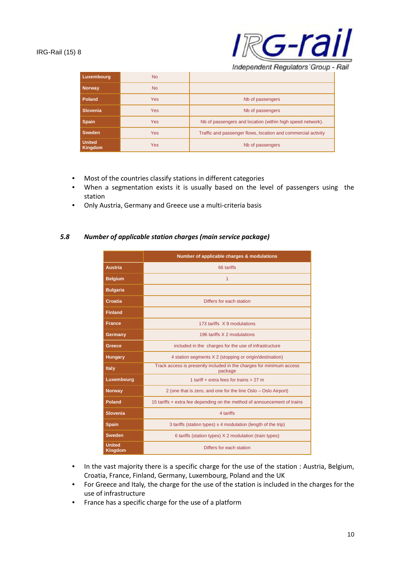

Independent Regulators' Group - Rail

| <b>Luxembourg</b>               | <b>No</b>  |                                                               |  |
|---------------------------------|------------|---------------------------------------------------------------|--|
| Norway                          | <b>No</b>  |                                                               |  |
| Poland                          | <b>Yes</b> | Nb of passengers                                              |  |
| <b>Slovenia</b>                 | <b>Yes</b> | Nb of passengers                                              |  |
| <b>Spain</b>                    | <b>Yes</b> | Nb of passengers and location (within high speed network).    |  |
| <b>Sweden</b>                   | <b>Yes</b> | Traffic and passenger flows, location and commercial activity |  |
| <b>United</b><br><b>Kingdom</b> | <b>Yes</b> | Nb of passengers                                              |  |

- Most of the countries classify stations in different categories
- When a segmentation exists it is usually based on the level of passengers using the station
- Only Austria, Germany and Greece use a multi-criteria basis

#### *5.8 Number of applicable station charges (main service package)*

|                                                                 | Number of applicable charges & modulations                                      |  |
|-----------------------------------------------------------------|---------------------------------------------------------------------------------|--|
| <b>Austria</b>                                                  | 66 tariffs                                                                      |  |
| <b>Belgium</b>                                                  | 1                                                                               |  |
| <b>Bulgaria</b>                                                 |                                                                                 |  |
| Croatia                                                         | Differs for each station                                                        |  |
| <b>Finland</b>                                                  |                                                                                 |  |
| <b>France</b>                                                   | 173 tariffs X 9 modulations                                                     |  |
| Germany                                                         | 196 tariffs X 2 modulations                                                     |  |
| included in the charges for the use of infrastructure<br>Greece |                                                                                 |  |
| <b>Hungary</b>                                                  | 4 station segments X 2 (stopping or origin/destination)                         |  |
| <b>Italy</b>                                                    | Track access is presently included in the charges for minimum access<br>package |  |
| Luxembourg<br>1 tariff $+$ extra fees for trains $> 27$ m       |                                                                                 |  |
| <b>Norway</b>                                                   | 2 (one that is zero, and one for the line Oslo – Oslo Airport)                  |  |
| Poland                                                          | 15 tariffs + extra fee depending on the method of announcement of trains        |  |
| <b>Slovenia</b>                                                 | 4 tariffs                                                                       |  |
| <b>Spain</b>                                                    | 3 tariffs (station types) x 4 modulation (length of the trip)                   |  |
| <b>Sweden</b>                                                   | 6 tariffs (station types) X 2 modulation (train types)                          |  |
| <b>United</b><br><b>Kingdom</b>                                 | Differs for each station                                                        |  |

- In the vast majority there is a specific charge for the use of the station : Austria, Belgium, Croatia, France, Finland, Germany, Luxembourg, Poland and the UK
- For Greece and Italy*,* the charge for the use of the station is included in the charges for the use of infrastructure
- France has a specific charge for the use of a platform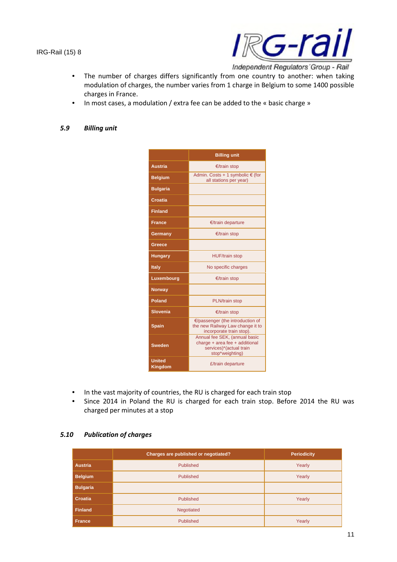

• The number of charges differs significantly from one country to another: when taking modulation of charges, the number varies from 1 charge in Belgium to some 1400 possible

- charges in France.
- In most cases, a modulation / extra fee can be added to the « basic charge »

## *5.9 Billing unit*

|                                                                                                                                | <b>Billing unit</b>                                                 |  |
|--------------------------------------------------------------------------------------------------------------------------------|---------------------------------------------------------------------|--|
| <b>Austria</b>                                                                                                                 | €/train stop                                                        |  |
| <b>Belgium</b>                                                                                                                 | Admin. Costs + 1 symbolic $\epsilon$ (for<br>all stations per year) |  |
| <b>Bulgaria</b>                                                                                                                |                                                                     |  |
| Croatia                                                                                                                        |                                                                     |  |
| <b>Finland</b>                                                                                                                 |                                                                     |  |
| <b>France</b>                                                                                                                  | €/train departure                                                   |  |
| Germany                                                                                                                        | €/train stop                                                        |  |
| Greece                                                                                                                         |                                                                     |  |
| <b>HUF/train stop</b><br><b>Hungary</b>                                                                                        |                                                                     |  |
| <b>Italy</b>                                                                                                                   | No specific charges                                                 |  |
| Luxembourg                                                                                                                     | €/train stop                                                        |  |
| <b>Norway</b>                                                                                                                  |                                                                     |  |
| <b>Poland</b>                                                                                                                  | PLN/train stop                                                      |  |
| <b>Slovenia</b>                                                                                                                | €/train stop                                                        |  |
| €/passenger (the introduction of<br>the new Railway Law change it to<br><b>Spain</b><br>incorporate train stop).               |                                                                     |  |
| Annual fee SEK, (annual basic<br>charge + area fee + additional<br><b>Sweden</b><br>services)*(actual train<br>stop*weighting) |                                                                     |  |
| <b>United</b><br>£/train departure<br><b>Kingdom</b>                                                                           |                                                                     |  |

- In the vast majority of countries, the RU is charged for each train stop
- Since 2014 in Poland the RU is charged for each train stop. Before 2014 the RU was charged per minutes at a stop

## *5.10 Publication of charges*

|                 | Charges are published or negotiated? | <b>Periodicity</b> |
|-----------------|--------------------------------------|--------------------|
| <b>Austria</b>  | Published                            | Yearly             |
| <b>Belgium</b>  | Published                            | Yearly             |
| <b>Bulgaria</b> |                                      |                    |
| Croatia         | Published                            | Yearly             |
| <b>Finland</b>  | Negotiated                           |                    |
| <b>France</b>   | Published                            | Yearly             |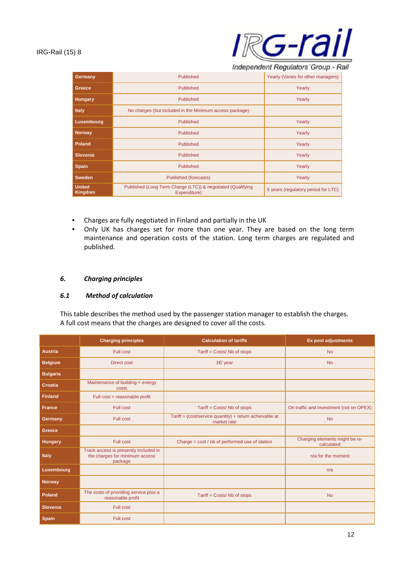

Independent Regulators' Group - Rail

| Germany                         | Published                                                                   | Yearly (Varies for other managers)  |
|---------------------------------|-----------------------------------------------------------------------------|-------------------------------------|
| Greece                          | <b>Published</b>                                                            | Yearly                              |
| Hungary                         | Published                                                                   | Yearly                              |
| <b>Italy</b>                    | No charges (but included in the Minimum access package)                     |                                     |
| Luxembourg                      | <b>Published</b>                                                            | Yearly                              |
| Norway                          | <b>Published</b>                                                            | Yearly                              |
| Poland                          | <b>Published</b>                                                            | Yearly                              |
| <b>Slovenia</b>                 | <b>Published</b>                                                            | Yearly                              |
| <b>Spain</b>                    | <b>Published</b>                                                            | Yearly                              |
| <b>Sweden</b>                   | Published (forecasts)                                                       | Yearly                              |
| <b>United</b><br><b>Kingdom</b> | Published (Long Term Charge (LTC)) & negotiated (Qualifying<br>Expenditure) | 5 years (regulatory period for LTC) |

- Charges are fully negotiated in Finland and partially in the UK
- Only UK has charges set for more than one year. They are based on the long term maintenance and operation costs of the station. Long term charges are regulated and published.

## *6. Charging principles*

## *6.1 Method of calculation*

This table describes the method used by the passenger station manager to establish the charges. A full cost means that the charges are designed to cover all the costs.

|                 | <b>Charging principles</b>                                                         | <b>Calculation of tariffs</b>                                            | <b>Ex post adjustments</b>                   |
|-----------------|------------------------------------------------------------------------------------|--------------------------------------------------------------------------|----------------------------------------------|
| <b>Austria</b>  | <b>Full cost</b>                                                                   | Tariff = Costs/ Nb of stops                                              | <b>No</b>                                    |
| <b>Belgium</b>  | <b>Direct cost</b>                                                                 | 1€/ year                                                                 | <b>No</b>                                    |
| <b>Bulgaria</b> |                                                                                    |                                                                          |                                              |
| <b>Croatia</b>  | Maintenance of building + energy<br>costs                                          |                                                                          |                                              |
| <b>Finland</b>  | Full cost + reasonable profit                                                      |                                                                          |                                              |
| <b>France</b>   | <b>Full cost</b>                                                                   | Tariff = Costs/ Nb of stops                                              | On traffic and investment (not on OPEX)      |
| Germany         | <b>Full cost</b>                                                                   | Tariff = $(cost/service quantity) + return achievable at$<br>market rate | <b>No</b>                                    |
| Greece          |                                                                                    |                                                                          |                                              |
| <b>Hungary</b>  | Full cost                                                                          | Charge = cost / nb of performed use of station                           | Charging elements might be re-<br>calculated |
| <b>Italy</b>    | Track access is presently included in<br>the charges for minimum access<br>package |                                                                          | n/a for the moment                           |
| Luxembourg      |                                                                                    |                                                                          | n/a                                          |
| Norway          |                                                                                    |                                                                          |                                              |
| <b>Poland</b>   | The costs of providing service plus a<br>reasonable profit                         | Tariff = Costs/ Nb of stops                                              | <b>No</b>                                    |
| <b>Slovenia</b> | <b>Full cost</b>                                                                   |                                                                          |                                              |
| <b>Spain</b>    | <b>Full cost</b>                                                                   |                                                                          |                                              |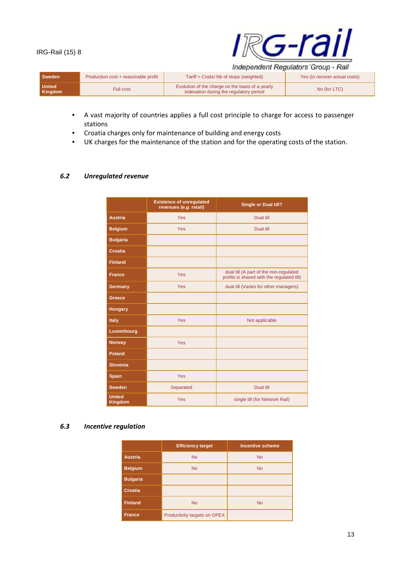

| Sweden                   | Production cost + reasonable profit | Tariff = Costs/ Nb of stops (weighted)                                                      | Yes (to recover actual costs) |
|--------------------------|-------------------------------------|---------------------------------------------------------------------------------------------|-------------------------------|
| <b>United</b><br>Kingdom | <b>Full cost</b>                    | Evolution of the charge on the basis of a yearly<br>indexation during the regulatory period | No (for LTC)                  |

- A vast majority of countries applies a full cost principle to charge for access to passenger stations
- Croatia charges only for maintenance of building and energy costs
- UK charges for the maintenance of the station and for the operating costs of the station.

#### *6.2 Unregulated revenue*

|                                 | <b>Existence of unregulated</b><br>revenues (e.g. retail) | Single or Dual till?                                                                 |  |
|---------------------------------|-----------------------------------------------------------|--------------------------------------------------------------------------------------|--|
| <b>Austria</b>                  | Yes                                                       | Dual till                                                                            |  |
| <b>Belgium</b>                  | Yes                                                       | Dual till                                                                            |  |
| <b>Bulgaria</b>                 |                                                           |                                                                                      |  |
| Croatia                         |                                                           |                                                                                      |  |
| <b>Finland</b>                  |                                                           |                                                                                      |  |
| <b>France</b>                   | Yes                                                       | dual till (A part of the non-regulated<br>profits is shared with the regulated till) |  |
| Germany                         | <b>Yes</b>                                                | dual till (Varies for other managers)                                                |  |
| Greece                          |                                                           |                                                                                      |  |
| <b>Hungary</b>                  |                                                           |                                                                                      |  |
| Italy                           | Yes                                                       | Not applicable                                                                       |  |
| Luxembourg                      |                                                           |                                                                                      |  |
| <b>Norway</b>                   | Yes                                                       |                                                                                      |  |
| Poland                          |                                                           |                                                                                      |  |
| <b>Slovenia</b>                 |                                                           |                                                                                      |  |
| <b>Spain</b>                    | Yes                                                       |                                                                                      |  |
| <b>Sweden</b>                   | Separated                                                 | Dual till                                                                            |  |
| <b>United</b><br><b>Kingdom</b> | Yes                                                       | single till (for Network Rail)                                                       |  |

#### *6.3 Incentive regulation*

|                             | <b>Efficiency target</b>     | <b>Incentive scheme</b> |
|-----------------------------|------------------------------|-------------------------|
| <b>Austria</b>              | <b>No</b>                    | <b>No</b>               |
| <b>Belgium</b>              | <b>No</b>                    | <b>No</b>               |
| <b>Bulgaria</b>             |                              |                         |
| <b>Croatia</b>              |                              |                         |
| <b>Finland</b><br><b>No</b> |                              | <b>No</b>               |
| <b>France</b>               | Productivity targets on OPEX |                         |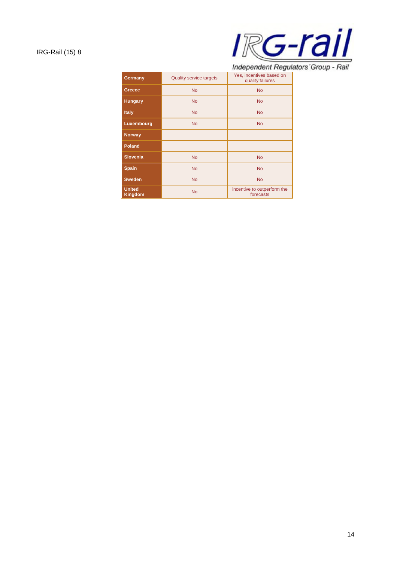

Independent Regulators' Group - Rail

| Germany                                      | <b>Quality service targets</b> | Yes, incentives based on<br>quality failures |  |  |
|----------------------------------------------|--------------------------------|----------------------------------------------|--|--|
| Greece                                       | <b>No</b>                      | <b>No</b>                                    |  |  |
| <b>Hungary</b>                               | <b>No</b>                      | <b>No</b>                                    |  |  |
| <b>Italy</b>                                 | <b>No</b>                      | <b>No</b>                                    |  |  |
| Luxembourg                                   | <b>No</b>                      | <b>No</b>                                    |  |  |
| <b>Norway</b>                                |                                |                                              |  |  |
| <b>Poland</b>                                |                                |                                              |  |  |
| <b>Slovenia</b>                              | <b>No</b>                      | <b>No</b>                                    |  |  |
| <b>Spain</b>                                 | <b>No</b>                      | <b>No</b>                                    |  |  |
| <b>Sweden</b>                                | <b>No</b><br><b>No</b>         |                                              |  |  |
| <b>United</b><br><b>No</b><br><b>Kingdom</b> |                                | incentive to outperform the<br>forecasts     |  |  |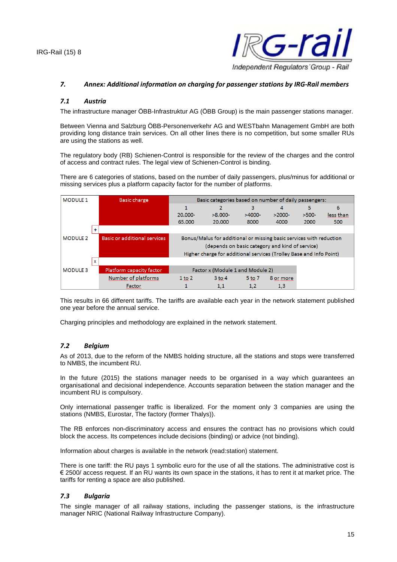

#### *7. Annex: Additional information on charging for passenger stations by IRG-Rail members*

#### *7.1 Austria*

The infrastructure manager ÖBB-Infrastruktur AG (ÖBB Group) is the main passenger stations manager.

Between Vienna and Salzburg ÖBB-Personenverkehr AG and WESTbahn Management GmbH are both providing long distance train services. On all other lines there is no competition, but some smaller RUs are using the stations as well.

The regulatory body (RB) Schienen-Control is responsible for the review of the charges and the control of access and contract rules. The legal view of Schienen-Control is binding.

There are 6 categories of stations, based on the number of daily passengers, plus/minus for additional or missing services plus a platform capacity factor for the number of platforms.

| <b>MODULE 1</b> |   | <b>Basic charge</b>                 | Basic categories based on number of daily passengers:               |                                                                     |            |           |         |           |
|-----------------|---|-------------------------------------|---------------------------------------------------------------------|---------------------------------------------------------------------|------------|-----------|---------|-----------|
|                 |   |                                     |                                                                     |                                                                     | 3          | 4         | 5       | 6         |
|                 |   |                                     | 20.000-                                                             | $>8.000-$                                                           | $>4000-$   | $>2000-$  | $>500-$ | less than |
|                 |   |                                     | 65,000                                                              | 20,000                                                              | 8000       | 4000      | 2000    | 500       |
|                 |   |                                     |                                                                     |                                                                     |            |           |         |           |
| <b>MODULE 2</b> |   | <b>Basic or additional services</b> |                                                                     | Bonus/Malus for additional or missing basic services with reduction |            |           |         |           |
|                 |   |                                     | (depends on basic category and kind of service)                     |                                                                     |            |           |         |           |
|                 |   |                                     | Higher charge for additional services (Trolley Base and Info Point) |                                                                     |            |           |         |           |
|                 | x |                                     |                                                                     |                                                                     |            |           |         |           |
| <b>MODULE 3</b> |   | Platform capacity factor            | Factor x (Module 1 and Module 2)                                    |                                                                     |            |           |         |           |
|                 |   | Number of platforms                 | $1$ to $2$                                                          | $3$ to $4$                                                          | $5$ to $7$ | 8 or more |         |           |
|                 |   | Factor                              |                                                                     | 1,1                                                                 | 1,2        | 1,3       |         |           |

This results in 66 different tariffs. The tariffs are available each year in the network statement published one year before the annual service.

Charging principles and methodology are explained in the network statement.

#### *7.2 Belgium*

As of 2013, due to the reform of the NMBS holding structure, all the stations and stops were transferred to NMBS, the incumbent RU.

In the future (2015) the stations manager needs to be organised in a way which guarantees an organisational and decisional independence. Accounts separation between the station manager and the incumbent RU is compulsory.

Only international passenger traffic is liberalized. For the moment only 3 companies are using the stations (NMBS, Eurostar, The factory (former Thalys)).

The RB enforces non-discriminatory access and ensures the contract has no provisions which could block the access. Its competences include decisions (binding) or advice (not binding).

Information about charges is available in the network (read:station) statement.

There is one tariff: the RU pays 1 symbolic euro for the use of all the stations. The administrative cost is € 2500/ access request. If an RU wants its own space in the stations, it has to rent it at market price. The tariffs for renting a space are also published.

#### *7.3 Bulgaria*

The single manager of all railway stations, including the passenger stations, is the infrastructure manager NRIC (National Railway Infrastructure Company).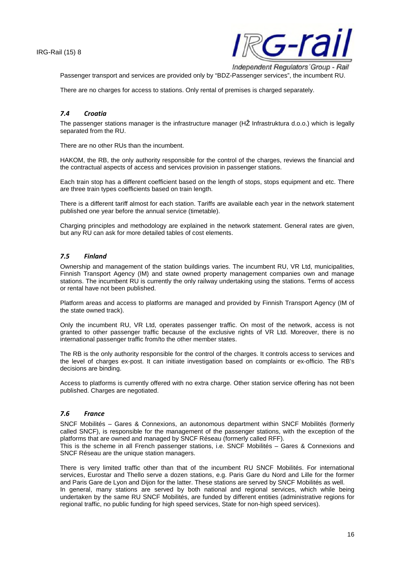

Passenger transport and services are provided only by "BDZ-Passenger services", the incumbent RU.

There are no charges for access to stations. Only rental of premises is charged separately.

#### *7.4 Croatia*

The passenger stations manager is the infrastructure manager (HŽ Infrastruktura d.o.o.) which is legally separated from the RU.

There are no other RUs than the incumbent.

HAKOM, the RB, the only authority responsible for the control of the charges, reviews the financial and the contractual aspects of access and services provision in passenger stations.

Each train stop has a different coefficient based on the length of stops, stops equipment and etc. There are three train types coefficients based on train length.

There is a different tariff almost for each station. Tariffs are available each year in the network statement published one year before the annual service (timetable).

Charging principles and methodology are explained in the network statement. General rates are given, but any RU can ask for more detailed tables of cost elements.

#### *7.5 Finland*

Ownership and management of the station buildings varies. The incumbent RU, VR Ltd, municipalities, Finnish Transport Agency (IM) and state owned property management companies own and manage stations. The incumbent RU is currently the only railway undertaking using the stations. Terms of access or rental have not been published.

Platform areas and access to platforms are managed and provided by Finnish Transport Agency (IM of the state owned track).

Only the incumbent RU, VR Ltd, operates passenger traffic. On most of the network, access is not granted to other passenger traffic because of the exclusive rights of VR Ltd. Moreover, there is no international passenger traffic from/to the other member states.

The RB is the only authority responsible for the control of the charges. It controls access to services and the level of charges ex-post. It can initiate investigation based on complaints or ex-officio. The RB's decisions are binding.

Access to platforms is currently offered with no extra charge. Other station service offering has not been published. Charges are negotiated.

#### *7.6 France*

SNCF Mobilités – Gares & Connexions, an autonomous department within SNCF Mobilités (formerly called SNCF), is responsible for the management of the passenger stations, with the exception of the platforms that are owned and managed by SNCF Réseau (formerly called RFF).

This is the scheme in all French passenger stations, i.e. SNCF Mobilités – Gares & Connexions and SNCF Réseau are the unique station managers.

There is very limited traffic other than that of the incumbent RU SNCF Mobilités. For international services, Eurostar and Thello serve a dozen stations, e.g. Paris Gare du Nord and Lille for the former and Paris Gare de Lyon and Dijon for the latter. These stations are served by SNCF Mobilités as well. In general, many stations are served by both national and regional services, which while being undertaken by the same RU SNCF Mobilités, are funded by different entities (administrative regions for regional traffic, no public funding for high speed services, State for non-high speed services).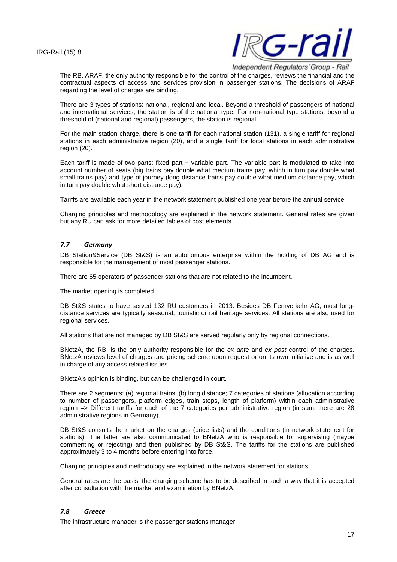

Independent Regulators' Group - Rail

The RB, ARAF, the only authority responsible for the control of the charges, reviews the financial and the contractual aspects of access and services provision in passenger stations. The decisions of ARAF regarding the level of charges are binding.

There are 3 types of stations: national, regional and local. Beyond a threshold of passengers of national and international services, the station is of the national type. For non-national type stations, beyond a threshold of (national and regional) passengers, the station is regional.

For the main station charge, there is one tariff for each national station (131), a single tariff for regional stations in each administrative region (20), and a single tariff for local stations in each administrative region (20).

Each tariff is made of two parts: fixed part + variable part. The variable part is modulated to take into account number of seats (big trains pay double what medium trains pay, which in turn pay double what small trains pay) and type of journey (long distance trains pay double what medium distance pay, which in turn pay double what short distance pay).

Tariffs are available each year in the network statement published one year before the annual service.

Charging principles and methodology are explained in the network statement. General rates are given but any RU can ask for more detailed tables of cost elements.

#### *7.7 Germany*

DB Station&Service (DB St&S) is an autonomous enterprise within the holding of DB AG and is responsible for the management of most passenger stations.

There are 65 operators of passenger stations that are not related to the incumbent.

The market opening is completed.

DB St&S states to have served 132 RU customers in 2013. Besides DB Fernverkehr AG, most longdistance services are typically seasonal, touristic or rail heritage services. All stations are also used for regional services.

All stations that are not managed by DB St&S are served regularly only by regional connections.

BNetzA, the RB, is the only authority responsible for the *ex ante* and *ex post* control of the charges. BNetzA reviews level of charges and pricing scheme upon request or on its own initiative and is as well in charge of any access related issues.

BNetzA's opinion is binding, but can be challenged in court.

There are 2 segments: (a) regional trains; (b) long distance; 7 categories of stations (allocation according to number of passengers, platform edges, train stops, length of platform) within each administrative region => Different tariffs for each of the 7 categories per administrative region (in sum, there are 28 administrative regions in Germany).

DB St&S consults the market on the charges (price lists) and the conditions (in network statement for stations). The latter are also communicated to BNetzA who is responsible for supervising (maybe commenting or rejecting) and then published by DB St&S. The tariffs for the stations are published approximately 3 to 4 months before entering into force.

Charging principles and methodology are explained in the network statement for stations.

General rates are the basis; the charging scheme has to be described in such a way that it is accepted after consultation with the market and examination by BNetzA.

#### *7.8 Greece*

The infrastructure manager is the passenger stations manager.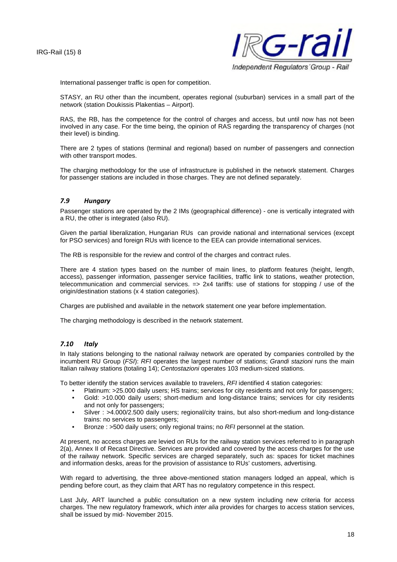

International passenger traffic is open for competition.

STASY, an RU other than the incumbent, operates regional (suburban) services in a small part of the network (station Doukissis Plakentias – Airport).

RAS, the RB, has the competence for the control of charges and access, but until now has not been involved in any case. For the time being, the opinion of RAS regarding the transparency of charges (not their level) is binding.

There are 2 types of stations (terminal and regional) based on number of passengers and connection with other transport modes.

The charging methodology for the use of infrastructure is published in the network statement. Charges for passenger stations are included in those charges. They are not defined separately.

#### *7.9 Hungary*

Passenger stations are operated by the 2 IMs (geographical difference) - one is vertically integrated with a RU, the other is integrated (also RU).

Given the partial liberalization, Hungarian RUs can provide national and international services (except for PSO services) and foreign RUs with licence to the EEA can provide international services.

The RB is responsible for the review and control of the charges and contract rules.

There are 4 station types based on the number of main lines, to platform features (height, length, access), passenger information, passenger service facilities, traffic link to stations, weather protection, telecommunication and commercial services. => 2x4 tariffs: use of stations for stopping / use of the origin/destination stations (x 4 station categories).

Charges are published and available in the network statement one year before implementation.

The charging methodology is described in the network statement.

#### *7.10 Italy*

In Italy stations belonging to the national railway network are operated by companies controlled by the incumbent RU Group (*FSI*): *RFI* operates the largest number of stations; *Grandi stazioni* runs the main Italian railway stations (totaling 14); *Centostazioni* operates 103 medium-sized stations.

To better identify the station services available to travelers, *RFI* identified 4 station categories:

- Platinum: >25.000 daily users; HS trains; services for city residents and not only for passengers;
- Gold: >10.000 daily users; short-medium and long-distance trains; services for city residents and not only for passengers;
- Silver : >4.000/2.500 daily users; regional/city trains, but also short-medium and long-distance trains: no services to passengers;
- Bronze : >500 daily users; only regional trains; no *RFI* personnel at the station.

At present, no access charges are levied on RUs for the railway station services referred to in paragraph 2(a), Annex II of Recast Directive. Services are provided and covered by the access charges for the use of the railway network. Specific services are charged separately, such as: spaces for ticket machines and information desks, areas for the provision of assistance to RUs' customers, advertising.

With regard to advertising, the three above-mentioned station managers lodged an appeal, which is pending before court, as they claim that ART has no regulatory competence in this respect.

Last July, ART launched a public consultation on a new system including new criteria for access charges. The new regulatory framework, which *inter alia* provides for charges to access station services, shall be issued by mid- November 2015.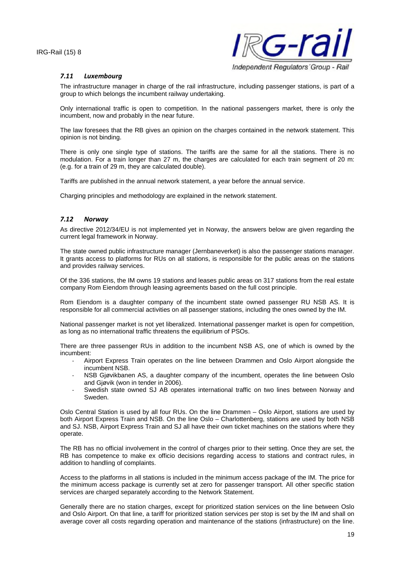

#### *7.11 Luxembourg*

The infrastructure manager in charge of the rail infrastructure, including passenger stations, is part of a group to which belongs the incumbent railway undertaking.

Only international traffic is open to competition. In the national passengers market, there is only the incumbent, now and probably in the near future.

The law foresees that the RB gives an opinion on the charges contained in the network statement. This opinion is not binding.

There is only one single type of stations. The tariffs are the same for all the stations. There is no modulation. For a train longer than 27 m, the charges are calculated for each train segment of 20 m: (e.g. for a train of 29 m, they are calculated double).

Tariffs are published in the annual network statement, a year before the annual service.

Charging principles and methodology are explained in the network statement.

#### *7.12 Norway*

As directive 2012/34/EU is not implemented yet in Norway, the answers below are given regarding the current legal framework in Norway.

The state owned public infrastructure manager (Jernbaneverket) is also the passenger stations manager. It grants access to platforms for RUs on all stations, is responsible for the public areas on the stations and provides railway services.

Of the 336 stations, the IM owns 19 stations and leases public areas on 317 stations from the real estate company Rom Eiendom through leasing agreements based on the full cost principle.

Rom Eiendom is a daughter company of the incumbent state owned passenger RU NSB AS. It is responsible for all commercial activities on all passenger stations, including the ones owned by the IM.

National passenger market is not yet liberalized. International passenger market is open for competition, as long as no international traffic threatens the equilibrium of PSOs.

There are three passenger RUs in addition to the incumbent NSB AS, one of which is owned by the incumbent:

- Airport Express Train operates on the line between Drammen and Oslo Airport alongside the incumbent NSB.
- NSB Gjøvikbanen AS, a daughter company of the incumbent, operates the line between Oslo and Gjøvik (won in tender in 2006).
- Swedish state owned SJ AB operates international traffic on two lines between Norway and Sweden.

Oslo Central Station is used by all four RUs. On the line Drammen – Oslo Airport, stations are used by both Airport Express Train and NSB. On the line Oslo – Charlottenberg, stations are used by both NSB and SJ. NSB, Airport Express Train and SJ all have their own ticket machines on the stations where they operate.

The RB has no official involvement in the control of charges prior to their setting. Once they are set, the RB has competence to make ex officio decisions regarding access to stations and contract rules, in addition to handling of complaints.

Access to the platforms in all stations is included in the minimum access package of the IM. The price for the minimum access package is currently set at zero for passenger transport. All other specific station services are charged separately according to the Network Statement.

Generally there are no station charges, except for prioritized station services on the line between Oslo and Oslo Airport. On that line, a tariff for prioritized station services per stop is set by the IM and shall on average cover all costs regarding operation and maintenance of the stations (infrastructure) on the line.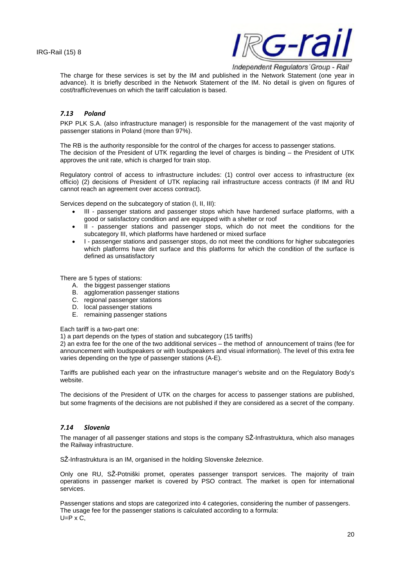

The charge for these services is set by the IM and published in the Network Statement (one year in advance). It is briefly described in the Network Statement of the IM. No detail is given on figures of cost/traffic/revenues on which the tariff calculation is based.

#### *7.13 Poland*

PKP PLK S.A. (also infrastructure manager) is responsible for the management of the vast majority of passenger stations in Poland (more than 97%).

The RB is the authority responsible for the control of the charges for access to passenger stations. The decision of the President of UTK regarding the level of charges is binding – the President of UTK approves the unit rate, which is charged for train stop.

Regulatory control of access to infrastructure includes: (1) control over access to infrastructure (ex officio) (2) decisions of President of UTK replacing rail infrastructure access contracts (if IM and RU cannot reach an agreement over access contract).

Services depend on the subcategory of station (I, II, III):

- III passenger stations and passenger stops which have hardened surface platforms, with a good or satisfactory condition and are equipped with a shelter or roof
- II passenger stations and passenger stops, which do not meet the conditions for the subcategory III, which platforms have hardened or mixed surface
- I passenger stations and passenger stops, do not meet the conditions for higher subcategories which platforms have dirt surface and this platforms for which the condition of the surface is defined as unsatisfactory

There are 5 types of stations:

- A. the biggest passenger stations
- B. agglomeration passenger stations
- C. regional passenger stations
- D. local passenger stations
- E. remaining passenger stations

Each tariff is a two-part one:

1) a part depends on the types of station and subcategory (15 tariffs)

2) an extra fee for the one of the two additional services – the method of announcement of trains (fee for announcement with loudspeakers or with loudspeakers and visual information). The level of this extra fee varies depending on the type of passenger stations (A-E).

Tariffs are published each year on the infrastructure manager's website and on the Regulatory Body's website.

The decisions of the President of UTK on the charges for access to passenger stations are published, but some fragments of the decisions are not published if they are considered as a secret of the company.

#### *7.14 Slovenia*

The manager of all passenger stations and stops is the company SŽ-Infrastruktura, which also manages the Railway infrastructure.

SŽ-Infrastruktura is an IM, organised in the holding Slovenske železnice.

Only one RU, SŽ-Potniški promet, operates passenger transport services. The majority of train operations in passenger market is covered by PSO contract. The market is open for international services.

Passenger stations and stops are categorized into 4 categories, considering the number of passengers. The usage fee for the passenger stations is calculated according to a formula:  $U=P \times C$ ,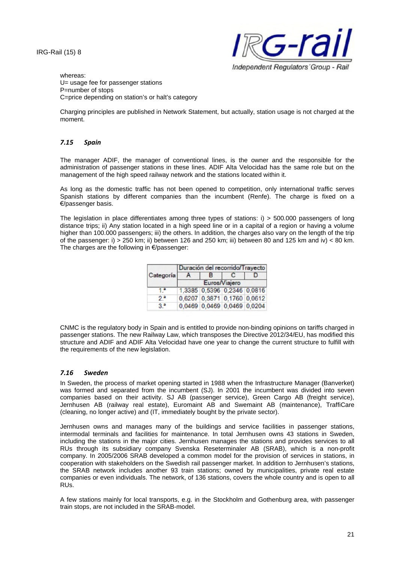

whereas: U= usage fee for passenger stations P=number of stops C=price depending on station's or halt's category

Charging principles are published in Network Statement, but actually, station usage is not charged at the moment.

#### *7.15 Spain*

The manager ADIF, the manager of conventional lines, is the owner and the responsible for the administration of passenger stations in these lines. ADIF Alta Velocidad has the same role but on the management of the high speed railway network and the stations located within it.

As long as the domestic traffic has not been opened to competition, only international traffic serves Spanish stations by different companies than the incumbent (Renfe). The charge is fixed on a €/passenger basis.

The legislation in place differentiates among three types of stations: i) > 500.000 passengers of long distance trips; ii) Any station located in a high speed line or in a capital of a region or having a volume higher than 100.000 passengers; iii) the others. In addition, the charges also vary on the length of the trip of the passenger: i) > 250 km; ii) between 126 and 250 km; iii) between 80 and 125 km and iv) < 80 km. The charges are the following in €/passenger:

|                   | Duración del recorrido/Trayecto |                             |   |  |  |  |
|-------------------|---------------------------------|-----------------------------|---|--|--|--|
| Categoría         |                                 | в                           | c |  |  |  |
|                   | Euros/Viajero                   |                             |   |  |  |  |
|                   |                                 | 1,3385 0,5396 0,2346 0,0816 |   |  |  |  |
| $2^{\frac{1}{2}}$ |                                 | 0,6207 0,3871 0,1760 0,0612 |   |  |  |  |
| 33                |                                 | 0,0469 0,0469 0,0469 0,0204 |   |  |  |  |

CNMC is the regulatory body in Spain and is entitled to provide non-binding opinions on tariffs charged in passenger stations. The new Railway Law, which transposes the Directive 2012/34/EU, has modified this structure and ADIF and ADIF Alta Velocidad have one year to change the current structure to fulfill with the requirements of the new legislation.

#### *7.16 Sweden*

In Sweden, the process of market opening started in 1988 when the Infrastructure Manager (Banverket) was formed and separated from the incumbent (SJ). In 2001 the incumbent was divided into seven companies based on their activity. SJ AB (passenger service), Green Cargo AB (freight service), Jernhusen AB (railway real estate), Euromaint AB and Swemaint AB (maintenance), TraffiCare (cleaning, no longer active) and (IT, immediately bought by the private sector).

Jernhusen owns and manages many of the buildings and service facilities in passenger stations, intermodal terminals and facilities for maintenance. In total Jernhusen owns 43 stations in Sweden, including the stations in the major cities. Jernhusen manages the stations and provides services to all RUs through its subsidiary company Svenska Reseterminaler AB (SRAB), which is a non-profit company. In 2005/2006 SRAB developed a common model for the provision of services in stations, in cooperation with stakeholders on the Swedish rail passenger market. In addition to Jernhusen's stations, the SRAB network includes another 93 train stations; owned by municipalities, private real estate companies or even individuals. The network, of 136 stations, covers the whole country and is open to all RUs.

A few stations mainly for local transports, e.g. in the Stockholm and Gothenburg area, with passenger train stops, are not included in the SRAB-model.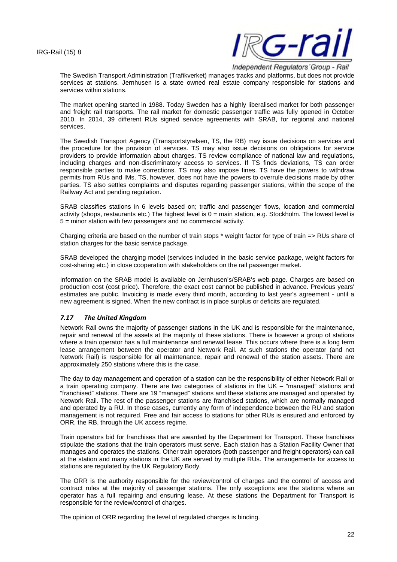

The Swedish Transport Administration (Trafikverket) manages tracks and platforms, but does not provide services at stations. Jernhusen is a state owned real estate company responsible for stations and services within stations.

The market opening started in 1988. Today Sweden has a highly liberalised market for both passenger and freight rail transports. The rail market for domestic passenger traffic was fully opened in October 2010. In 2014, 39 different RUs signed service agreements with SRAB, for regional and national services.

The Swedish Transport Agency (Transportstyrelsen, TS, the RB) may issue decisions on services and the procedure for the provision of services. TS may also issue decisions on obligations for service providers to provide information about charges. TS review compliance of national law and regulations, including charges and non-discriminatory access to services. If TS finds deviations, TS can order responsible parties to make corrections. TS may also impose fines. TS have the powers to withdraw permits from RUs and IMs. TS, however, does not have the powers to overrule decisions made by other parties. TS also settles complaints and disputes regarding passenger stations, within the scope of the Railway Act and pending regulation.

SRAB classifies stations in 6 levels based on; traffic and passenger flows, location and commercial activity (shops, restaurants etc.) The highest level is 0 = main station, e.g. Stockholm. The lowest level is 5 = minor station with few passengers and no commercial activity.

Charging criteria are based on the number of train stops \* weight factor for type of train => RUs share of station charges for the basic service package.

SRAB developed the charging model (services included in the basic service package, weight factors for cost-sharing etc.) in close cooperation with stakeholders on the rail passenger market.

Information on the SRAB model is available on Jernhusen's/SRAB's web page. Charges are based on production cost (cost price). Therefore, the exact cost cannot be published in advance. Previous years' estimates are public. Invoicing is made every third month, according to last year's agreement - until a new agreement is signed. When the new contract is in place surplus or deficits are regulated.

#### *7.17 The United Kingdom*

Network Rail owns the majority of passenger stations in the UK and is responsible for the maintenance, repair and renewal of the assets at the majority of these stations. There is however a group of stations where a train operator has a full maintenance and renewal lease. This occurs where there is a long term lease arrangement between the operator and Network Rail. At such stations the operator (and not Network Rail) is responsible for all maintenance, repair and renewal of the station assets. There are approximately 250 stations where this is the case.

The day to day management and operation of a station can be the responsibility of either Network Rail or a train operating company. There are two categories of stations in the UK – "managed" stations and "franchised" stations. There are 19 "managed" stations and these stations are managed and operated by Network Rail. The rest of the passenger stations are franchised stations, which are normally managed and operated by a RU. In those cases, currently any form of independence between the RU and station management is not required. Free and fair access to stations for other RUs is ensured and enforced by ORR, the RB, through the UK access regime.

Train operators bid for franchises that are awarded by the Department for Transport. These franchises stipulate the stations that the train operators must serve. Each station has a Station Facility Owner that manages and operates the stations. Other train operators (both passenger and freight operators) can call at the station and many stations in the UK are served by multiple RUs. The arrangements for access to stations are regulated by the UK Regulatory Body.

The ORR is the authority responsible for the review/control of charges and the control of access and contract rules at the majority of passenger stations. The only exceptions are the stations where an operator has a full repairing and ensuring lease. At these stations the Department for Transport is responsible for the review/control of charges.

The opinion of ORR regarding the level of regulated charges is binding.